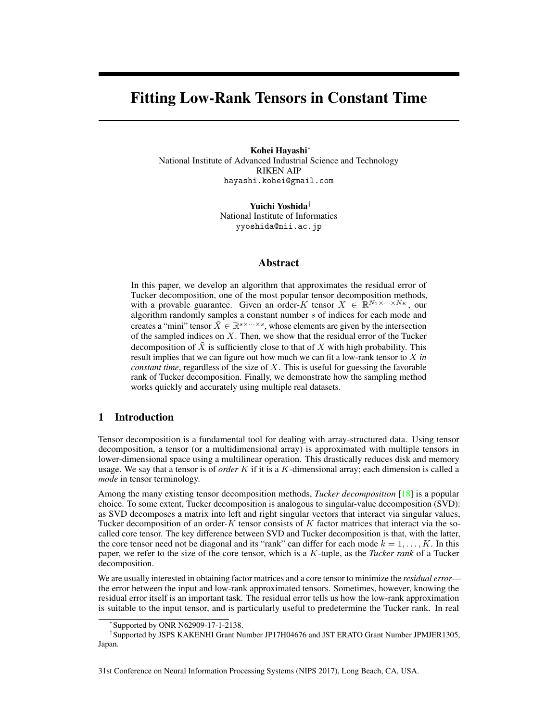# Fitting Low-Rank Tensors in Constant Time

Kohei Hayashi<sup>∗</sup> National Institute of Advanced Industrial Science and Technology RIKEN AIP hayashi.kohei@gmail.com

> Yuichi Yoshida† National Institute of Informatics yyoshida@nii.ac.jp

## Abstract

In this paper, we develop an algorithm that approximates the residual error of Tucker decomposition, one of the most popular tensor decomposition methods, with a provable guarantee. Given an order-K tensor  $X \in \mathbb{R}^{N_1 \times \cdots \times N_K}$ , our algorithm randomly samples a constant number s of indices for each mode and creates a "mini" tensor  $\tilde{X} \in \mathbb{R}^{s \times \cdots \times s}$ , whose elements are given by the intersection of the sampled indices on  $X$ . Then, we show that the residual error of the Tucker decomposition of  $\tilde{X}$  is sufficiently close to that of X with high probability. This result implies that we can figure out how much we can fit a low-rank tensor to X *in constant time*, regardless of the size of X. This is useful for guessing the favorable rank of Tucker decomposition. Finally, we demonstrate how the sampling method works quickly and accurately using multiple real datasets.

# 1 Introduction

Tensor decomposition is a fundamental tool for dealing with array-structured data. Using tensor decomposition, a tensor (or a multidimensional array) is approximated with multiple tensors in lower-dimensional space using a multilinear operation. This drastically reduces disk and memory usage. We say that a tensor is of *order* K if it is a K-dimensional array; each dimension is called a *mode* in tensor terminology.

Among the many existing tensor decomposition methods, *Tucker decomposition* [\[18\]](#page-8-0) is a popular choice. To some extent, Tucker decomposition is analogous to singular-value decomposition (SVD): as SVD decomposes a matrix into left and right singular vectors that interact via singular values, Tucker decomposition of an order- $K$  tensor consists of  $K$  factor matrices that interact via the socalled core tensor. The key difference between SVD and Tucker decomposition is that, with the latter, the core tensor need not be diagonal and its "rank" can differ for each mode  $k = 1, \ldots, K$ . In this paper, we refer to the size of the core tensor, which is a K-tuple, as the *Tucker rank* of a Tucker decomposition.

We are usually interested in obtaining factor matrices and a core tensor to minimize the *residual error* the error between the input and low-rank approximated tensors. Sometimes, however, knowing the residual error itself is an important task. The residual error tells us how the low-rank approximation is suitable to the input tensor, and is particularly useful to predetermine the Tucker rank. In real

31st Conference on Neural Information Processing Systems (NIPS 2017), Long Beach, CA, USA.

<sup>∗</sup> Supported by ONR N62909-17-1-2138.

<sup>†</sup> Supported by JSPS KAKENHI Grant Number JP17H04676 and JST ERATO Grant Number JPMJER1305, Japan.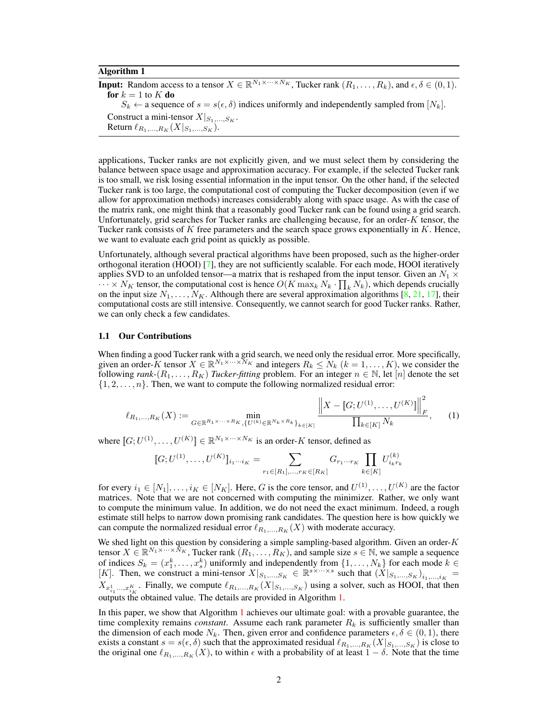#### Algorithm 1

<span id="page-1-0"></span>**Input:** Random access to a tensor  $X \in \mathbb{R}^{N_1 \times \cdots \times N_K}$ , Tucker rank  $(R_1, \ldots, R_k)$ , and  $\epsilon, \delta \in (0, 1)$ . for  $k = 1$  to  $K$  do  $S_k \leftarrow$  a sequence of  $s = s(\epsilon, \delta)$  indices uniformly and independently sampled from  $[N_k]$ . Construct a mini-tensor  $X|_{S_1,...,S_K}$ . Return  $\ell_{R_1,...,R_K} (X|_{S_1,...,S_K}).$ 

applications, Tucker ranks are not explicitly given, and we must select them by considering the balance between space usage and approximation accuracy. For example, if the selected Tucker rank is too small, we risk losing essential information in the input tensor. On the other hand, if the selected Tucker rank is too large, the computational cost of computing the Tucker decomposition (even if we allow for approximation methods) increases considerably along with space usage. As with the case of the matrix rank, one might think that a reasonably good Tucker rank can be found using a grid search. Unfortunately, grid searches for Tucker ranks are challenging because, for an order- $K$  tensor, the Tucker rank consists of K free parameters and the search space grows exponentially in  $K$ . Hence, we want to evaluate each grid point as quickly as possible.

Unfortunately, although several practical algorithms have been proposed, such as the higher-order orthogonal iteration (HOOI) [\[7\]](#page-8-1), they are not sufficiently scalable. For each mode, HOOI iteratively applies SVD to an unfolded tensor—a matrix that is reshaped from the input tensor. Given an  $N_1 \times$  $\cdots \times N_K$  tensor, the computational cost is hence  $O(K \max_k N_k \cdot \prod_k N_k)$ , which depends crucially on the input size  $N_1, \ldots, N_K$ . Although there are several approximation algorithms [\[8,](#page-8-2) [21,](#page-8-3) [17\]](#page-8-4), their computational costs are still intensive. Consequently, we cannot search for good Tucker ranks. Rather, we can only check a few candidates.

### 1.1 Our Contributions

When finding a good Tucker rank with a grid search, we need only the residual error. More specifically, given an order-K tensor  $X \in \mathbb{R}^{N_1 \times \cdots \times N_K}$  and integers  $R_k \le N_k$   $(k = 1, \ldots, K)$ , we consider the following *rank*- $(R_1, \ldots, R_K)$  *Tucker-fitting* problem. For an integer  $n \in \mathbb{N}$ , let [n] denote the set  $\{1, 2, \ldots, n\}$ . Then, we want to compute the following normalized residual error:

$$
\ell_{R_1,\ldots,R_K}(X) := \min_{G \in \mathbb{R}^{R_1 \times \cdots \times R_K}, \{U^{(k)} \in \mathbb{R}^{N_k \times R_k}\}_{k \in [K]}} \frac{\left\|X - [G;U^{(1)},\ldots,U^{(K)}]\right\|_F^2}{\prod_{k \in [K]} N_k},\qquad(1)
$$

where  $[G; U^{(1)}, \ldots, U^{(K)}] \in \mathbb{R}^{N_1 \times \cdots \times N_K}$  is an order-K tensor, defined as

<span id="page-1-1"></span>
$$
[G;U^{(1)},\ldots,U^{(K)}]_{i_1\cdots i_K} = \sum_{r_1\in [R_1],\ldots,r_K\in [R_K]} G_{r_1\cdots r_K} \prod_{k\in [K]} U_{i_kr_k}^{(k)}
$$

for every  $i_1 \in [N_1], \ldots, i_K \in [N_K]$ . Here, G is the core tensor, and  $U^{(1)}, \ldots, U^{(K)}$  are the factor matrices. Note that we are not concerned with computing the minimizer. Rather, we only want to compute the minimum value. In addition, we do not need the exact minimum. Indeed, a rough estimate still helps to narrow down promising rank candidates. The question here is how quickly we can compute the normalized residual error  $\ell_{R_1,...,R_K}(X)$  with moderate accuracy.

We shed light on this question by considering a simple sampling-based algorithm. Given an order- $K$ tensor  $X \in \mathbb{R}^{N_1 \times \cdots \times N_K}$ , Tucker rank  $(R_1, \ldots, R_K)$ , and sample size  $s \in \mathbb{N}$ , we sample a sequence of indices  $S_k = (x_1^k, \dots, x_s^k)$  uniformly and independently from  $\{1, \dots, N_k\}$  for each mode  $k \in$ [K]. Then, we construct a mini-tensor  $X|_{S_1,...,S_K} \in \mathbb{R}^{s \times \cdots \times s}$  such that  $(X|_{S_1,...,S_K})_{i_1,...,i_K} =$  $X_{x_{i_1}^1,\dots,x_{i_K}^K}$ . Finally, we compute  $\ell_{R_1,\dots,R_K}(X|_{S_1,\dots,S_K})$  using a solver, such as HOOI, that then outputs the obtained value. The details are provided in Algorithm [1.](#page-1-0)

In this paper, we show that Algorithm [1](#page-1-0) achieves our ultimate goal: with a provable guarantee, the time complexity remains *constant*. Assume each rank parameter  $R_k$  is sufficiently smaller than the dimension of each mode  $N_k$ . Then, given error and confidence parameters  $\epsilon, \delta \in (0, 1)$ , there exists a constant  $s = s(\epsilon, \delta)$  such that the approximated residual  $\ell_{R_1,...,R_K}(X|_{S_1,...,S_K})$  is close to the original one  $\ell_{R_1,...,R_K} (X)$ , to within  $\epsilon$  with a probability of at least  $1 - \delta$ . Note that the time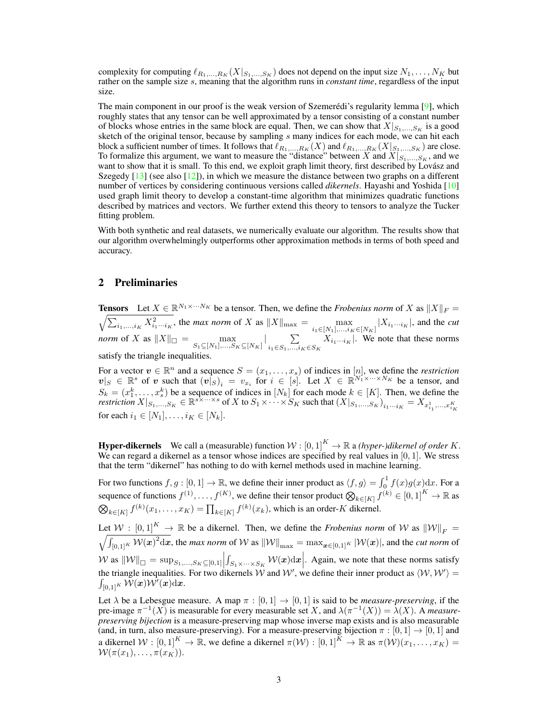complexity for computing  $\ell_{R_1,...,R_K} (X|_{S_1,...,S_K} )$  does not depend on the input size  $N_1,..., N_K$  but rather on the sample size s, meaning that the algorithm runs in *constant time*, regardless of the input size.

The main component in our proof is the weak version of Szemerédi's regularity lemma [\[9\]](#page-8-5), which roughly states that any tensor can be well approximated by a tensor consisting of a constant number of blocks whose entries in the same block are equal. Then, we can show that  $X|_{S_1,...,S_K}$  is a good sketch of the original tensor, because by sampling s many indices for each mode, we can hit each block a sufficient number of times. It follows that  $\ell_{R_1,...,R_K} (X)$  and  $\ell_{R_1,...,R_K} (X|_{S_1,...,S_K} )$  are close. To formalize this argument, we want to measure the "distance" between X and  $X|_{S_1,...,S_K}$ , and we want to show that it is small. To this end, we exploit graph limit theory, first described by Lovász and Szegedy  $[13]$  (see also  $[12]$ ), in which we measure the distance between two graphs on a different number of vertices by considering continuous versions called *dikernels*. Hayashi and Yoshida [\[10\]](#page-8-8) used graph limit theory to develop a constant-time algorithm that minimizes quadratic functions described by matrices and vectors. We further extend this theory to tensors to analyze the Tucker fitting problem.

With both synthetic and real datasets, we numerically evaluate our algorithm. The results show that our algorithm overwhelmingly outperforms other approximation methods in terms of both speed and accuracy.

# 2 Preliminaries

**Tensors** Let  $X \in \mathbb{R}^{N_1 \times \cdots N_K}$  be a tensor. Then, we define the *Frobenius norm* of X as  $||X||_F =$  $\sqrt{\sum_{i_1,\dots,i_K} X_{i_1\cdots i_K}^2}$ , the *max norm* of X as  $||X||_{\max} = \max_{i_1 \in [N_1],\dots,i_K \in [N_K]} |X_{i_1\cdots i_K}|$ , and the *cut norm* of X as  $||X||_{\Box} = \max_{S_1 \subseteq [N_1],...,S_K \subseteq [N_K]} |\sum_{i_1 \in S_1,...,i_K}$  $\sum_{i_1 \in S_1, \dots, i_K \in S_K} X_{i_1 \cdots i_K}$ . We note that these norms satisfy the triangle inequalities.

For a vector  $v \in \mathbb{R}^n$  and a sequence  $S = (x_1, \ldots, x_s)$  of indices in  $[n]$ , we define the *restriction*  $v|_S \in \mathbb{R}^s$  of v such that  $(v|_S)_i = v_{x_i}$  for  $i \in [s]$ . Let  $X \in \mathbb{R}^{N_1 \times \dots \times N_K}$  be a tensor, and  $S_k = (x_1^k, \ldots, x_s^k)$  be a sequence of indices in  $[N_k]$  for each mode  $k \in [K]$ . Then, we define the *restriction*  $X|_{S_1,...,S_K} \in \mathbb{R}^{s \times \cdots \times s}$  of X to  $S_1 \times \cdots \times S_K$  such that  $(X|_{S_1,...,S_K})_{i_1...i_K} = X_{x_{i_1}^1,...,x_{i_K}^K}$ for each  $i_1 \in [N_1], \ldots, i_K \in [N_k]$ .

**Hyper-dikernels** We call a (measurable) function  $W : [0, 1]^K \to \mathbb{R}$  a *(hyper-)dikernel of order* K. We can regard a dikernel as a tensor whose indices are specified by real values in  $[0, 1]$ . We stress that the term "dikernel" has nothing to do with kernel methods used in machine learning.

For two functions  $f, g : [0, 1] \to \mathbb{R}$ , we define their inner product as  $\langle f, g \rangle = \int_0^1 f(x)g(x)dx$ . For a sequence of functions  $f^{(1)}, \ldots, f^{(K)}$ , we define their tensor product  $\bigotimes_{k \in [K]} f^{(k)} \in [0,1]^K \to \mathbb{R}$  as  $\bigotimes_{k \in [K]} f^{(k)}(x_1, \ldots, x_K) = \prod_{k \in [K]} f^{(k)}(x_k)$ , which is an order-K dikernel.

Let  $W : [0, 1]^K \to \mathbb{R}$  be a dikernel. Then, we define the *Frobenius norm* of W as  $\|W\|$  $\frac{1}{2}$  $F =$  $\int_{[0,1]^K} \mathcal{W}(x)^2 dx$ , the *max norm* of W as  $\|\mathcal{W}\|_{\max} = \max_{\bm{x} \in [0,1]^K} |\mathcal{W}(\bm{x})|$ , and the *cut norm* of  $\mathcal W$  as  $\|\mathcal W\|_{\square} = \sup_{S_1,\dots,S_K \subseteq [0,1]}$ W as  $||\mathcal{W}||_{\Box} = \sup_{S_1,...,S_K \subseteq [0,1]} \Big| \int_{S_1 \times ... \times S_K} \mathcal{W}(x) dx \Big|$ . Again, we note that these norms satisfy the triangle inequalities. For two dikernels W and W', we define their inner product as  $\langle \mathcal{W}, \mathcal{W}' \rangle =$  $\int_{[0,1]^K} \breve{\mathcal{W}}(\bm{x}) \mathcal{W}^{\check\prime}(\bm{x}) \mathrm{d} \bm{x}.$ 

Let  $\lambda$  be a Lebesgue measure. A map  $\pi : [0, 1] \to [0, 1]$  is said to be *measure-preserving*, if the pre-image  $\pi^{-1}(X)$  is measurable for every measurable set X, and  $\lambda(\pi^{-1}(X)) = \lambda(X)$ . A *measurepreserving bijection* is a measure-preserving map whose inverse map exists and is also measurable (and, in turn, also measure-preserving). For a measure-preserving bijection  $\pi : [0,1] \rightarrow [0,1]$  and a dikernel  $\mathcal{W}:[0,1]^K\to\mathbb{R}$ , we define a dikernel  $\pi(\mathcal{W}):(0,1]^K\to\mathbb{R}$  as  $\pi(\mathcal{W})(x_1,\ldots,x_K)=$  $W(\pi(x_1), \ldots, \pi(x_K)).$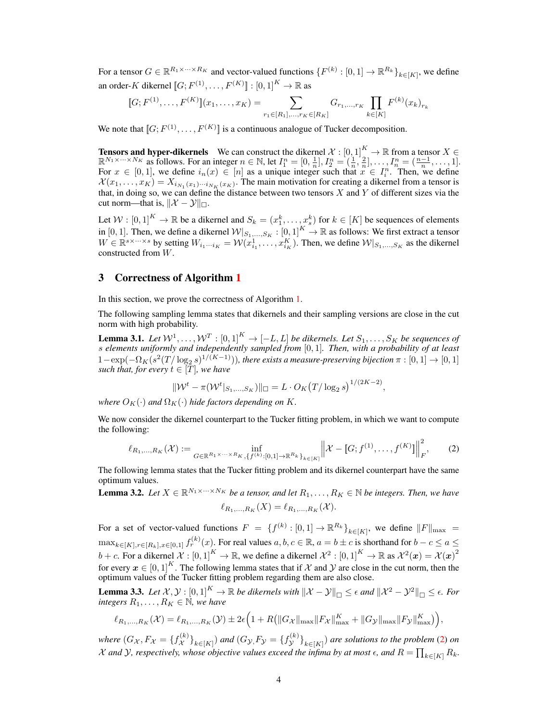For a tensor  $G \in \mathbb{R}^{R_1 \times \cdots \times R_K}$  and vector-valued functions  $\{F^{(k)} : [0,1] \to \mathbb{R}^{R_k}\}_{k \in [K]}$ , we define an order-K dikernel  $\llbracket G; F^{(1)}, \ldots, F^{(K)} \rrbracket : [0,1]^K \to \mathbb{R}$  as

$$
[G; F^{(1)}, \ldots, F^{(K)}](x_1, \ldots, x_K) = \sum_{r_1 \in [R_1], \ldots, r_K \in [R_K]} G_{r_1, \ldots, r_K} \prod_{k \in [K]} F^{(k)}(x_k)_{r_k}
$$

We note that  $[G; F^{(1)}, \ldots, F^{(K)}]$  is a continuous analogue of Tucker decomposition.

**Tensors and hyper-dikernels** We can construct the dikernel  $\mathcal{X} : [0,1]^K \to \mathbb{R}$  from a tensor  $X \in$  $\mathbb{R}^{N_1 \times \cdots \times N_K}$  as follows. For an integer  $n \in \mathbb{N}$ , let  $I_1^n = [0, \frac{1}{n}], I_2^n = (\frac{1}{n}, \frac{2}{n}], \ldots, I_n^n = (\frac{n-1}{n}, \ldots, 1].$ For  $x \in [0,1]$ , we define  $i_n(x) \in [n]$  as a unique integer such that  $x \in I_i^n$ . Then, we define  $\mathcal{X}(x_1,\ldots,x_K)=X_{i_{N_1}(x_1)\cdots i_{N_K}(x_K)}$ . The main motivation for creating a dikernel from a tensor is that, in doing so, we can define the distance between two tensors  $X$  and  $Y$  of different sizes via the cut norm—that is,  $\|\mathcal{X} - \mathcal{Y}\|_{\square}$ .

Let  $W: [0,1]^K \to \mathbb{R}$  be a dikernel and  $S_k = (x_1^k, \dots, x_s^k)$  for  $k \in [K]$  be sequences of elements in [0, 1]. Then, we define a dikernel  $\mathcal{W}|_{S_1,...,S_K}:[0,1]^K \to \mathbb{R}$  as follows: We first extract a tensor  $W \in \mathbb{R}^{s \times \cdots \times s}$  by setting  $W_{i_1 \cdots i_K} = \mathcal{W}(x_{i_1}^1, \ldots, x_{i_K}^K)$ . Then, we define  $\mathcal{W}|_{S_1,\ldots,S_K}$  as the dikernel constructed from W.

## 3 Correctness of Algorithm [1](#page-1-0)

In this section, we prove the correctness of Algorithm [1.](#page-1-0)

The following sampling lemma states that dikernels and their sampling versions are close in the cut norm with high probability.

<span id="page-3-1"></span>**Lemma 3.1.** Let  $W^1, \ldots, W^T : [0,1]^K \to [-L, L]$  be dikernels. Let  $S_1, \ldots, S_K$  be sequences of s *elements uniformly and independently sampled from* [0, 1]*. Then, with a probability of at least*  $1-\exp(-\Omega_K(s^2(T/\log_2 s)^{1/(K-1)}))$ , there exists a measure-preserving bijection  $\pi:[0,1]\to[0,1]$ *such that, for every*  $t \in [T]$ *, we have* 

<span id="page-3-0"></span>
$$
\|\mathcal{W}^t - \pi(\mathcal{W}^t|_{S_1,\ldots,S_K})\|_{\square} = L \cdot O_K(T/\log_2 s)^{1/(2K-2)},
$$

*where*  $O_K(\cdot)$  *and*  $\Omega_K(\cdot)$  *hide factors depending on* K.

We now consider the dikernel counterpart to the Tucker fitting problem, in which we want to compute the following:

$$
\ell_{R_1,\ldots,R_K}(\mathcal{X}) := \inf_{G \in \mathbb{R}^{R_1 \times \cdots \times R_K}, \{f^{(k)}:[0,1] \to \mathbb{R}^{R_k}\}_{k \in [K]}} \left\| \mathcal{X} - [G; f^{(1)}, \ldots, f^{(K)}] \right\|_F^2, \tag{2}
$$

The following lemma states that the Tucker fitting problem and its dikernel counterpart have the same optimum values.

<span id="page-3-3"></span>**Lemma 3.2.** Let  $X \in \mathbb{R}^{N_1 \times \cdots \times N_K}$  be a tensor, and let  $R_1, \ldots, R_K \in \mathbb{N}$  be integers. Then, we have  $\ell_{R_1,...,R_K}(X) = \ell_{R_1,...,R_K}(X)$ .

For a set of vector-valued functions  $F = \{f^{(k)} : [0,1] \to \mathbb{R}^{R_k}\}_{k \in [K]}$ , we define  $||F||_{\max} =$  $\max_{k \in [K], r \in [R_k], x \in [0,1]} f_r^{(k)}(x)$ . For real values  $a, b, c \in \mathbb{R}$ ,  $a = b \pm c$  is shorthand for  $b - c \le a \le b$  $b+c.$  For a dikernel  $\mathcal{X}:[0,1]^K\to\mathbb{R},$  we define a dikernel  $\mathcal{X}^2:[0,1]^K\to\mathbb{R}$  as  $\mathcal{X}^2(\bm{x})=\mathcal{X}(\bm{x})^2$ for every  $x \in [0, 1]^K$ . The following lemma states that if X and Y are close in the cut norm, then the optimum values of the Tucker fitting problem regarding them are also close.

<span id="page-3-2"></span>**Lemma 3.3.** Let  $\mathcal{X}, \mathcal{Y} : [0,1]^K \to \mathbb{R}$  be dikernels with  $\|\mathcal{X} - \mathcal{Y}\|_{\Box} \leq \epsilon$  and  $\|\mathcal{X}^2 - \mathcal{Y}^2\|_{\Box} \leq \epsilon$ . For *integers*  $R_1, \ldots, R_K \in \mathbb{N}$ *, we have* 

$$
\ell_{R_1,...,R_K}(\mathcal{X}) = \ell_{R_1,...,R_K}(\mathcal{Y}) \pm 2\epsilon \Big( 1 + R (||G_{\mathcal{X}}||_{\max} || F_{\mathcal{X}} ||_{\max}^K + ||G_{\mathcal{Y}}||_{\max} || F_{\mathcal{Y}} ||_{\max}^K) \Big),
$$

*where*  $(G_{\mathcal{X}}, F_{\mathcal{X}} = \{f_{\mathcal{X}}^{(k)}\})$  $\left\{\begin{matrix} k \\ \chi \end{matrix}\right\}_{k\in[K]}$  and  $(G_{\mathcal{Y},F_{\mathcal{Y}}}=\{f_{\mathcal{Y}}^{(k)}\}$  $\left\{\mathcal{L}\left(\mathcal{K}\right)\right\}_{k\in[K]}$  are solutions to the problem [\(2\)](#page-3-0) on  $\mathcal X$  and  $\mathcal Y$ *, respectively, whose objective values exceed the infima by at most*  $\epsilon$ *, and*  $R = \prod_{k \in [K]} R_k$ *.*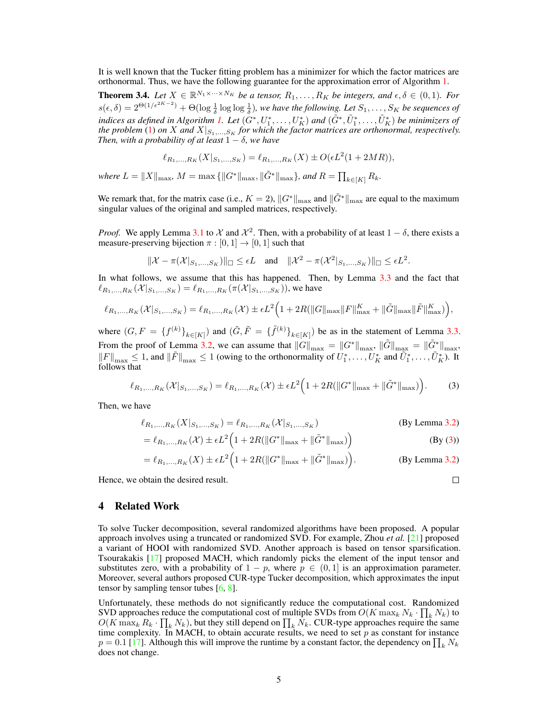It is well known that the Tucker fitting problem has a minimizer for which the factor matrices are orthonormal. Thus, we have the following guarantee for the approximation error of Algorithm [1.](#page-1-0)

**Theorem 3.4.** Let  $X \in \mathbb{R}^{N_1 \times \cdots \times N_K}$  be a tensor,  $R_1, \ldots, R_K$  be integers, and  $\epsilon, \delta \in (0, 1)$ . For  $s(\epsilon, \delta) = 2^{\Theta(1/\epsilon^{2K-2})} + \Theta(\log \frac{1}{\delta} \log \log \frac{1}{\delta})$ , we have the following. Let  $S_1, \ldots, S_K$  be sequences of indices as defined in Algorithm [1.](#page-1-0) Let  $(G^*,U_1^*,\ldots,U_K^*)$  and  $(\tilde{G}^*,\tilde{U}_1^*,\ldots,\tilde{U}_K^*)$  be minimizers of *the problem* [\(1\)](#page-1-1) *on* X and  $X|_{S_1,...,S_K}$  *for which the factor matrices are orthonormal, respectively. Then, with a probability of at least*  $1 - \delta$ *, we have* 

$$
\ell_{R_1,\ldots,R_K}(X|_{S_1,\ldots,S_K}) = \ell_{R_1,\ldots,R_K}(X) \pm O(\epsilon L^2(1+2MR)),
$$

*where*  $L = \|X\|_{\max}$ ,  $M = \max\{\|G^*\|_{\max}, \|\tilde{G}^*\|_{\max}\}$ , and  $R = \prod_{k \in [K]} R_k$ .

We remark that, for the matrix case (i.e.,  $K = 2$ ),  $||G^*||_{max}$  and  $||\tilde{G}^*||_{max}$  are equal to the maximum singular values of the original and sampled matrices, respectively.

*Proof.* We apply Lemma [3.1](#page-3-1) to X and  $\mathcal{X}^2$ . Then, with a probability of at least  $1 - \delta$ , there exists a measure-preserving bijection  $\pi : [0, 1] \rightarrow [0, 1]$  such that

$$
\|\mathcal{X} - \pi(\mathcal{X}|_{S_1,\ldots,S_K})\|_{\square} \le \epsilon L \quad \text{and} \quad \|\mathcal{X}^2 - \pi(\mathcal{X}^2|_{S_1,\ldots,S_K})\|_{\square} \le \epsilon L^2.
$$

In what follows, we assume that this has happened. Then, by Lemma [3.3](#page-3-2) and the fact that  $\ell_{R_1,...,R_K}(\mathcal{X}|_{S_1,...,S_K}) = \ell_{R_1,...,R_K}(\pi(\mathcal{X}|_{S_1,...,S_K})),$  we have

$$
\ell_{R_1,...,R_K}(\mathcal{X}|_{S_1,...,S_K}) = \ell_{R_1,...,R_K}(\mathcal{X}) \pm \epsilon L^2 \Big( 1 + 2R(||G||_{\max} ||F||_{\max}^K + ||\tilde{G}||_{\max} ||\tilde{F}||_{\max}^K) \Big),
$$

where  $(G, F = \{f^{(k)}\}_{k \in [K]}$  and  $(\tilde{G}, \tilde{F} = \{\tilde{f}^{(k)}\}_{k \in [K]})$  be as in the statement of Lemma [3.3.](#page-3-2) From the proof of Lemma [3.2,](#page-3-3) we can assume that  $\|\hat{G}\|_{\max} = \|G^*\|_{\max}$ ,  $\|\tilde{G}\|_{\max} = \|\tilde{G}^*\|_{\max}$ ,  $||F||_{\max} \leq 1$ , and  $||\tilde{F}||_{\max} \leq 1$  (owing to the orthonormality of  $U_1^*, \ldots, U_K^*$  and  $\tilde{U}_1^*, \ldots, \tilde{U}_K^*$ ). It follows that

$$
\ell_{R_1,\ldots,R_K}(\mathcal{X}|_{S_1,\ldots,S_K}) = \ell_{R_1,\ldots,R_K}(\mathcal{X}) \pm \epsilon L^2 \Big( 1 + 2R(\|G^*\|_{\max} + \|\tilde{G}^*\|_{\max}) \Big). \tag{3}
$$

Then, we have

$$
\ell_{R_1,\dots,R_K}(X|_{S_1,\dots,S_K}) = \ell_{R_1,\dots,R_K}(\mathcal{X}|_{S_1,\dots,S_K})
$$
 (By Lemma 3.2)

$$
= \ell_{R_1,...,R_K}(\mathcal{X}) \pm \epsilon L^2 \Big( 1 + 2R(\|G^*\|_{\max} + \|\tilde{G}^*\|_{\max}) \Big) \tag{By (3)}
$$

$$
= \ell_{R_1,\dots,R_K}(X) \pm \epsilon L^2 \Big( 1 + 2R(\|G^*\|_{\max} + \|\tilde{G}^*\|_{\max}) \Big). \tag{By Lemma 3.2}
$$

Hence, we obtain the desired result.

<span id="page-4-0"></span>
$$
\qquad \qquad \Box
$$

## <span id="page-4-1"></span>4 Related Work

To solve Tucker decomposition, several randomized algorithms have been proposed. A popular approach involves using a truncated or randomized SVD. For example, Zhou *et al.* [\[21\]](#page-8-3) proposed a variant of HOOI with randomized SVD. Another approach is based on tensor sparsification. Tsourakakis [\[17\]](#page-8-4) proposed MACH, which randomly picks the element of the input tensor and substitutes zero, with a probability of  $1 - p$ , where  $p \in (0, 1]$  is an approximation parameter. Moreover, several authors proposed CUR-type Tucker decomposition, which approximates the input tensor by sampling tensor tubes [\[6,](#page-8-9) [8\]](#page-8-2).

Unfortunately, these methods do not significantly reduce the computational cost. Randomized SVD approaches reduce the computational cost of multiple SVDs from  $O(K \max_k N_k \cdot \prod_k N_k)$  to  $O(K \max_k R_k \cdot \prod_k N_k)$ , but they still depend on  $\prod_k N_k$ . CUR-type approaches require the same time complexity. In MACH, to obtain accurate results, we need to set  $p$  as constant for instance  $p = 0.1$  [\[17\]](#page-8-4). Although this will improve the runtime by a constant factor, the dependency on  $\prod_k N_k$ does not change.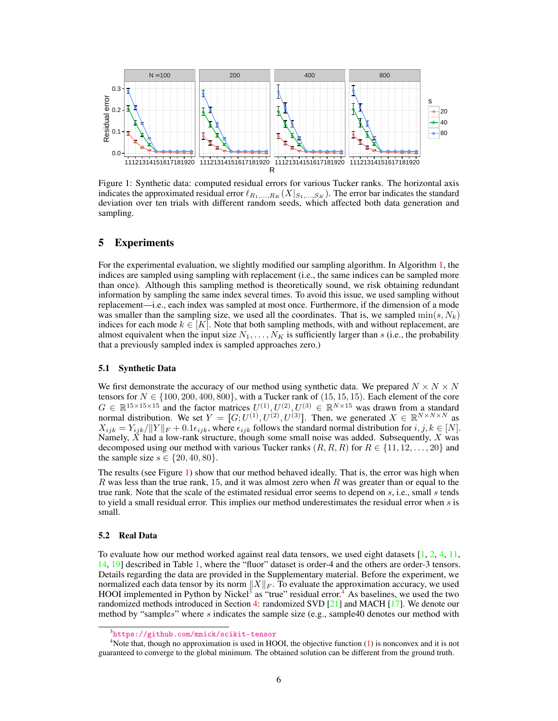

<span id="page-5-0"></span>Figure 1: Synthetic data: computed residual errors for various Tucker ranks. The horizontal axis indicates the approximated residual error  $\ell_{R_1,...,R_K} (X|_{S_1,...,S_K})$ . The error bar indicates the standard deviation over ten trials with different random seeds, which affected both data generation and sampling.

## 5 Experiments

For the experimental evaluation, we slightly modified our sampling algorithm. In Algorithm [1,](#page-1-0) the indices are sampled using sampling with replacement (i.e., the same indices can be sampled more than once). Although this sampling method is theoretically sound, we risk obtaining redundant information by sampling the same index several times. To avoid this issue, we used sampling without replacement—i.e., each index was sampled at most once. Furthermore, if the dimension of a mode was smaller than the sampling size, we used all the coordinates. That is, we sampled  $\min(s, N_k)$ indices for each mode  $k \in [K]$ . Note that both sampling methods, with and without replacement, are almost equivalent when the input size  $N_1, \ldots, N_K$  is sufficiently larger than s (i.e., the probability that a previously sampled index is sampled approaches zero.)

#### 5.1 Synthetic Data

We first demonstrate the accuracy of our method using synthetic data. We prepared  $N \times N \times N$ tensors for  $N \in \{100, 200, 400, 800\}$ , with a Tucker rank of (15, 15, 15). Each element of the core  $G \in \mathbb{R}^{15 \times 15 \times 15}$  and the factor matrices  $U^{(1)}, U^{(2)}, U^{(3)} \in \mathbb{R}^{N \times 15}$  was drawn from a standard normal distribution. We set  $Y = [G; U^{(1)}, U^{(2)}, U^{(3)}]$ . Then, we generated  $X \in \mathbb{R}^{N \times N \times N}$  as  $X_{ijk} = Y_{ijk}/||Y||_F + 0.1\epsilon_{ijk}$ , where  $\epsilon_{ijk}$  follows the standard normal distribution for  $i, j, k \in [N]$ . Namely,  $\hat{X}$  had a low-rank structure, though some small noise was added. Subsequently,  $X$  was decomposed using our method with various Tucker ranks  $(R, R, R)$  for  $R \in \{11, 12, \ldots, 20\}$  and the sample size  $s \in \{20, 40, 80\}.$ 

The results (see Figure [1\)](#page-5-0) show that our method behaved ideally. That is, the error was high when R was less than the true rank, 15, and it was almost zero when R was greater than or equal to the true rank. Note that the scale of the estimated residual error seems to depend on  $s$ , i.e., small  $s$  tends to yield a small residual error. This implies our method underestimates the residual error when  $s$  is small.

#### 5.2 Real Data

To evaluate how our method worked against real data tensors, we used eight datasets [\[1,](#page-8-10) [2,](#page-8-11) [4,](#page-8-12) [11,](#page-8-13) [14,](#page-8-14) [19\]](#page-8-15) described in Table [1,](#page-6-0) where the "fluor" dataset is order-4 and the others are order-3 tensors. Details regarding the data are provided in the Supplementary material. Before the experiment, we normalized each data tensor by its norm  $||X||_F$ . To evaluate the approximation accuracy, we used HOOI implemented in Python by Nickel<sup>[3](#page-5-1)</sup> as "true" residual error.<sup>[4](#page-5-2)</sup> As baselines, we used the two randomized methods introduced in Section [4:](#page-4-1) randomized SVD [\[21\]](#page-8-3) and MACH [\[17\]](#page-8-4). We denote our method by "samples" where s indicates the sample size (e.g., sample40 denotes our method with

<span id="page-5-2"></span><span id="page-5-1"></span><sup>3</sup> <https://github.com/mnick/scikit-tensor>

<sup>&</sup>lt;sup>4</sup>Note that, though no approximation is used in HOOI, the objective function [\(1\)](#page-1-1) is nonconvex and it is not guaranteed to converge to the global minimum. The obtained solution can be different from the ground truth.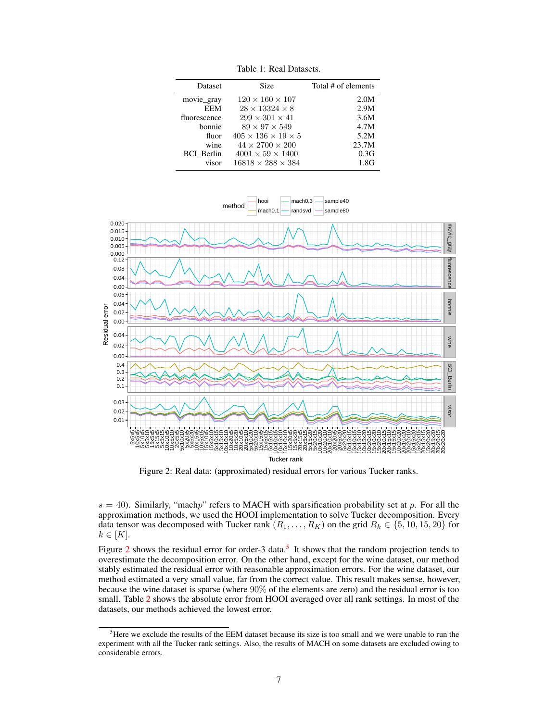<span id="page-6-0"></span>

| <b>Dataset</b>    | Size                                | Total # of elements |
|-------------------|-------------------------------------|---------------------|
| movie_gray        | $120 \times 160 \times 107$         | 2.0M                |
| EEM               | $28 \times 13324 \times 8$          | 2.9M                |
| fluorescence      | $299 \times 301 \times 41$          | 3.6M                |
| bonnie            | $89 \times 97 \times 549$           | 4.7M                |
| fluor             | $405 \times 136 \times 19 \times 5$ | 5.2M                |
| wine              | $44 \times 2700 \times 200$         | 23.7M               |
| <b>BCI</b> Berlin | $4001 \times 59 \times 1400$        | 0.3G                |
| visor             | $16818 \times 288 \times 384$       | 1.8G                |
|                   |                                     |                     |

Table 1: Real Datasets.



<span id="page-6-1"></span>Figure 2: Real data: (approximated) residual errors for various Tucker ranks.

 $s = 40$ ). Similarly, "machp" refers to MACH with sparsification probability set at p. For all the approximation methods, we used the HOOI implementation to solve Tucker decomposition. Every data tensor was decomposed with Tucker rank  $(R_1, \ldots, R_K)$  on the grid  $R_k \in \{5, 10, 15, 20\}$  for  $k \in [K]$ .

Figure [2](#page-6-1) shows the residual error for order-3 data.<sup>[5](#page-6-2)</sup> It shows that the random projection tends to overestimate the decomposition error. On the other hand, except for the wine dataset, our method stably estimated the residual error with reasonable approximation errors. For the wine dataset, our method estimated a very small value, far from the correct value. This result makes sense, however, because the wine dataset is sparse (where 90% of the elements are zero) and the residual error is too small. Table [2](#page-7-0) shows the absolute error from HOOI averaged over all rank settings. In most of the datasets, our methods achieved the lowest error.

<span id="page-6-2"></span><sup>&</sup>lt;sup>5</sup>Here we exclude the results of the EEM dataset because its size is too small and we were unable to run the experiment with all the Tucker rank settings. Also, the results of MACH on some datasets are excluded owing to considerable errors.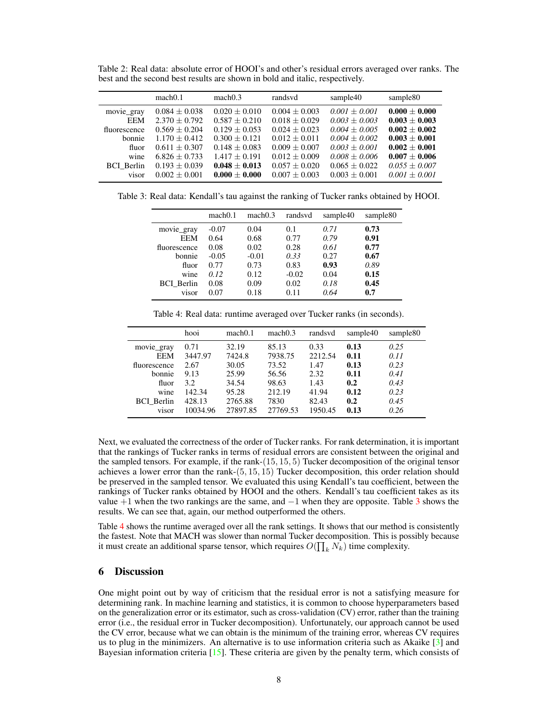| mach0.1           | mach0.3         | randsvd         | sample40        | sample80          |
|-------------------|-----------------|-----------------|-----------------|-------------------|
| $0.084 \pm 0.038$ | $0.020 + 0.010$ | $0.004 + 0.003$ | $0.001 + 0.001$ | $0.000 + 0.000$   |
| $2.370 + 0.792$   | $0.587 + 0.210$ | $0.018 + 0.029$ | $0.003 + 0.003$ | $0.003 \pm 0.003$ |
| $0.569 + 0.204$   | $0.129 + 0.053$ | $0.024 + 0.023$ | $0.004 + 0.005$ | $0.002 + 0.002$   |
| $1.170 + 0.412$   | $0.300 + 0.121$ | $0.012 + 0.011$ | $0.004 + 0.002$ | $0.003 + 0.001$   |
| $0.611 + 0.307$   | $0.148 + 0.083$ | $0.009 + 0.007$ | $0.003 + 0.001$ | $0.002 \pm 0.001$ |
| $6.826 \pm 0.733$ | $1.417 + 0.191$ | $0.012 + 0.009$ | $0.008 + 0.006$ | $0.007 + 0.006$   |
| $0.193 + 0.039$   | $0.048 + 0.013$ | $0.057 + 0.020$ | $0.065 + 0.022$ | $0.055 + 0.007$   |
| $0.002 + 0.001$   | $0.000 + 0.000$ | $0.007 + 0.003$ | $0.003 + 0.001$ | $0.001 + 0.001$   |
|                   |                 |                 |                 |                   |

<span id="page-7-0"></span>Table 2: Real data: absolute error of HOOI's and other's residual errors averaged over ranks. The best and the second best results are shown in bold and italic, respectively.

<span id="page-7-1"></span>Table 3: Real data: Kendall's tau against the ranking of Tucker ranks obtained by HOOI.

|                   | mach <sub>0.1</sub> | mach0.3 | randsvd | sample40 | sample80 |
|-------------------|---------------------|---------|---------|----------|----------|
| movie gray        | $-0.07$             | 0.04    | 0.1     | 0.71     | 0.73     |
| <b>EEM</b>        | 0.64                | 0.68    | 0.77    | 0.79     | 0.91     |
| fluorescence      | 0.08                | 0.02    | 0.28    | 0.61     | 0.77     |
| bonnie            | $-0.05$             | $-0.01$ | 0.33    | 0.27     | 0.67     |
| fluor             | 0.77                | 0.73    | 0.83    | 0.93     | 0.89     |
| wine              | 0.12                | 0.12    | $-0.02$ | 0.04     | 0.15     |
| <b>BCI</b> Berlin | 0.08                | 0.09    | 0.02    | 0.18     | 0.45     |
| visor             | 0.07                | 0.18    | 0.11    | 0.64     | 0.7      |

Table 4: Real data: runtime averaged over Tucker ranks (in seconds).

<span id="page-7-2"></span>

|                   | hooi         | mach0.1        | mach0.3        | randsvd      | sample40    | sample <sub>80</sub> |
|-------------------|--------------|----------------|----------------|--------------|-------------|----------------------|
| movie_gray        | 0.71         | 32.19          | 85.13          | 0.33         | 0.13        | 0.25                 |
| <b>EEM</b>        | 3447.97      | 7424.8         | 7938.75        | 2212.54      | 0.11        | 0.11                 |
| fluorescence      | 2.67         | 30.05          | 73.52          | 1.47         | 0.13        | 0.23                 |
| bonnie<br>fluor   | 9.13<br>3.2. | 25.99<br>34.54 | 56.56<br>98.63 | 2.32<br>1.43 | 0.11<br>0.2 | 0.41<br>0.43         |
| wine              | 142.34       | 95.28          | 212.19         | 41.94        | 0.12        | 0.23                 |
| <b>BCI</b> Berlin | 428.13       | 2765.88        | 7830           | 82.43        | 0.2         | 0.45                 |
| visor             | 10034.96     | 27897.85       | 27769.53       | 1950.45      | 0.13        | 0.26                 |

Next, we evaluated the correctness of the order of Tucker ranks. For rank determination, it is important that the rankings of Tucker ranks in terms of residual errors are consistent between the original and the sampled tensors. For example, if the rank-(15, 15, 5) Tucker decomposition of the original tensor achieves a lower error than the rank-(5, 15, 15) Tucker decomposition, this order relation should be preserved in the sampled tensor. We evaluated this using Kendall's tau coefficient, between the rankings of Tucker ranks obtained by HOOI and the others. Kendall's tau coefficient takes as its value  $+1$  when the two rankings are the same, and  $-1$  when they are opposite. Table [3](#page-7-1) shows the results. We can see that, again, our method outperformed the others.

Table [4](#page-7-2) shows the runtime averaged over all the rank settings. It shows that our method is consistently the fastest. Note that MACH was slower than normal Tucker decomposition. This is possibly because it must create an additional sparse tensor, which requires  $O(\prod_k N_k)$  time complexity.

## 6 Discussion

One might point out by way of criticism that the residual error is not a satisfying measure for determining rank. In machine learning and statistics, it is common to choose hyperparameters based on the generalization error or its estimator, such as cross-validation (CV) error, rather than the training error (i.e., the residual error in Tucker decomposition). Unfortunately, our approach cannot be used the CV error, because what we can obtain is the minimum of the training error, whereas CV requires us to plug in the minimizers. An alternative is to use information criteria such as Akaike  $\lceil 3 \rceil$  and Bayesian information criteria  $[15]$ . These criteria are given by the penalty term, which consists of